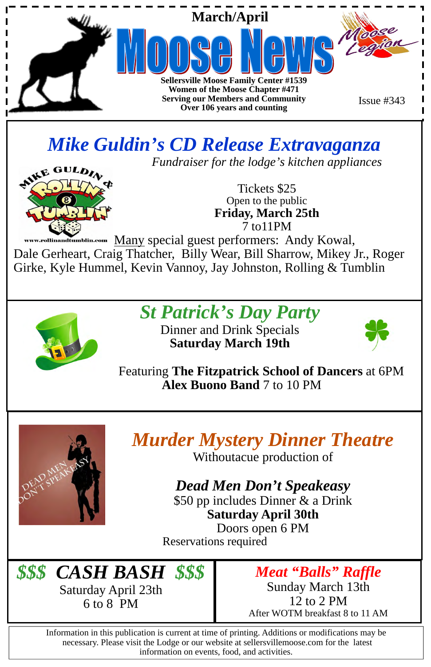

Information in this publication is current at time of printing. Additions or modifications may be necessary. Please visit the Lodge or our website at sellersvillemoose.com for the latest information on events, food, and activities.

Many special guest performers: Andy Kowal, llinandtumblin.com Dale Gerheart, Craig Thatcher, Billy Wear, Bill Sharrow, Mikey Jr., Roger Girke, Kyle Hummel, Kevin Vannoy, Jay Johnston, Rolling & Tumblin



### *Mike Guldin's CD Release Extravaganza*

*Fundraiser for the lodge's kitchen appliances* 



Tickets \$25 Open to the public **Friday, March 25th**  7 to11PM

\$50 pp includes Dinner & a Drink **Saturday April 30th**  Doors open 6 PM Reservations required

*St Patrick's Day Party* 

Dinner and Drink Specials **Saturday March 19th** 



Featuring **The Fitzpatrick School of Dancers** at 6PM  **Alex Buono Band** 7 to 10 PM



*Murder Mystery Dinner Theatre* Withoutacue production of

*Dead Men Don't Speakeasy* 



*Meat "Balls" Raffle*  Sunday March 13th 12 to 2 PM After WOTM breakfast 8 to 11 AM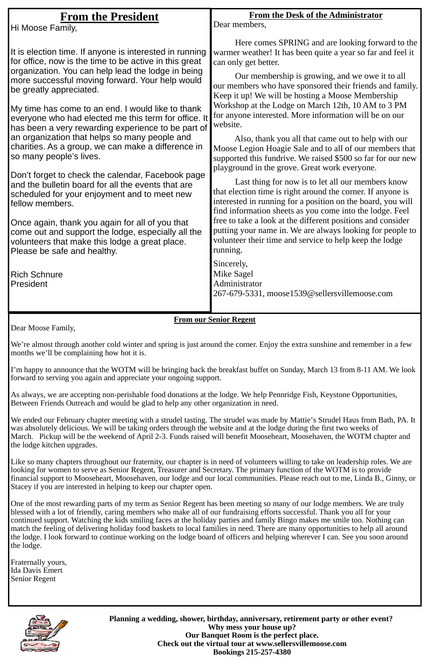**Planning a wedding, shower, birthday, anniversary, retirement party or other event? Why mess your house up? Our Banquet Room is the perfect place. Check out the virtual tour at www.sellersvillemoose.com Bookings 215-257-4380** 

| <b>From the President</b><br>Hi Moose Family,                                                                                                                                                                                                                                                                                                                                                                                                                                                                                                                                                                                                                                                                                                                                                                                                                                                                                                                                 | <b>From the Desk of the Administrator</b><br>Dear members,                                                                                                                                                                                                                                                                                                                                                                                                                                                                                                                                                                                                                                                                                                                                                                                                                                                                                                                                                                                                                                                                                                                                                                      |
|-------------------------------------------------------------------------------------------------------------------------------------------------------------------------------------------------------------------------------------------------------------------------------------------------------------------------------------------------------------------------------------------------------------------------------------------------------------------------------------------------------------------------------------------------------------------------------------------------------------------------------------------------------------------------------------------------------------------------------------------------------------------------------------------------------------------------------------------------------------------------------------------------------------------------------------------------------------------------------|---------------------------------------------------------------------------------------------------------------------------------------------------------------------------------------------------------------------------------------------------------------------------------------------------------------------------------------------------------------------------------------------------------------------------------------------------------------------------------------------------------------------------------------------------------------------------------------------------------------------------------------------------------------------------------------------------------------------------------------------------------------------------------------------------------------------------------------------------------------------------------------------------------------------------------------------------------------------------------------------------------------------------------------------------------------------------------------------------------------------------------------------------------------------------------------------------------------------------------|
| It is election time. If anyone is interested in running<br>for office, now is the time to be active in this great<br>organization. You can help lead the lodge in being<br>more successful moving forward. Your help would<br>be greatly appreciated.<br>My time has come to an end. I would like to thank<br>everyone who had elected me this term for office. It<br>has been a very rewarding experience to be part of<br>an organization that helps so many people and<br>charities. As a group, we can make a difference in<br>so many people's lives.<br>Don't forget to check the calendar, Facebook page<br>and the bulletin board for all the events that are<br>scheduled for your enjoyment and to meet new<br>fellow members.<br>Once again, thank you again for all of you that<br>come out and support the lodge, especially all the<br>volunteers that make this lodge a great place.<br>Please be safe and healthy.<br><b>Rich Schnure</b><br><b>President</b> | Here comes SPRING and are looking forward to the<br>warmer weather! It has been quite a year so far and feel it<br>can only get better.<br>Our membership is growing, and we owe it to all<br>our members who have sponsored their friends and family.<br>Keep it up! We will be hosting a Moose Membership<br>Workshop at the Lodge on March 12th, 10 AM to 3 PM<br>for anyone interested. More information will be on our<br>website.<br>Also, thank you all that came out to help with our<br>Moose Legion Hoagie Sale and to all of our members that<br>supported this fundrive. We raised \$500 so far for our new<br>playground in the grove. Great work everyone.<br>Last thing for now is to let all our members know<br>that election time is right around the corner. If anyone is<br>interested in running for a position on the board, you will<br>find information sheets as you come into the lodge. Feel<br>free to take a look at the different positions and consider<br>putting your name in. We are always looking for people to<br>volunteer their time and service to help keep the lodge<br>running.<br>Sincerely,<br><b>Mike Sagel</b><br>Administrator<br>267-679-5331, moose1539@sellersvillemoose.com |

#### **From our Senior Regent**

Dear Moose Family,

We're almost through another cold winter and spring is just around the corner. Enjoy the extra sunshine and remember in a few months we'll be complaining how hot it is.

I'm happy to announce that the WOTM will be bringing back the breakfast buffet on Sunday, March 13 from 8-11 AM. We look forward to serving you again and appreciate your ongoing support.

As always, we are accepting non-perishable food donations at the lodge. We help Pennridge Fish, Keystone Opportunities, Between Friends Outreach and would be glad to help any other organization in need.

We ended our February chapter meeting with a strudel tasting. The strudel was made by Mattie's Strudel Haus from Bath, PA. It was absolutely delicious. We will be taking orders through the website and at the lodge during the first two weeks of March. Pickup will be the weekend of April 2-3. Funds raised will benefit Mooseheart, Moosehaven, the WOTM chapter and the lodge kitchen upgrades.

Like so many chapters throughout our fraternity, our chapter is in need of volunteers willing to take on leadership roles. We are looking for women to serve as Senior Regent, Treasurer and Secretary. The primary function of the WOTM is to provide financial support to Mooseheart, Moosehaven, our lodge and our local communities. Please reach out to me, Linda B., Ginny, or Stacey if you are interested in helping to keep our chapter open.

One of the most rewarding parts of my term as Senior Regent has been meeting so many of our lodge members. We are truly blessed with a lot of friendly, caring members who make all of our fundraising efforts successful. Thank you all for your continued support. Watching the kids smiling faces at the holiday parties and family Bingo makes me smile too. Nothing can match the feeling of delivering holiday food baskets to local families in need. There are many opportunities to help all around the lodge. I look forward to continue working on the lodge board of officers and helping wherever I can. See you soon around the lodge.

Fraternally yours, Ida Davis Emert Senior Regent

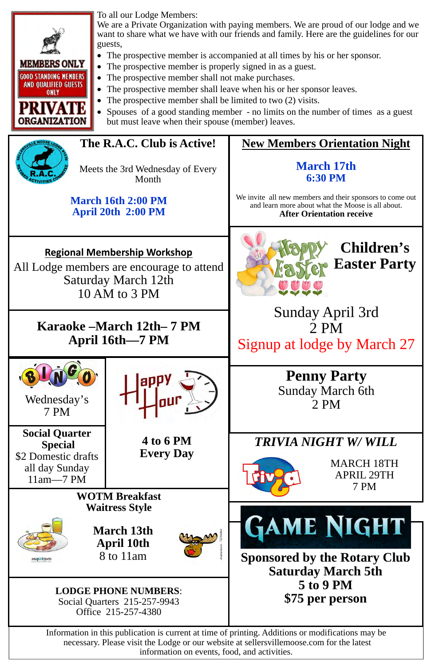### **New Members Orientation Night**

### **March 17th 6:30 PM**

We invite all new members and their sponsors to come out and learn more about what the Moose is all about. **After Orientation receive** 

**Social Quarter Special**  \$2 Domestic drafts all day Sunday 11am—7 PM



Wednesday's 7 PM



To all our Lodge Members:

We are a Private Organization with paying members. We are proud of our lodge and we want to share what we have with our friends and family. Here are the guidelines for our guests,

- The prospective member is accompanied at all times by his or her sponsor.
- The prospective member is properly signed in as a guest.
- The prospective member shall not make purchases.
- The prospective member shall leave when his or her sponsor leaves.
- The prospective member shall be limited to two (2) visits.
- Spouses of a good standing member no limits on the number of times as a guest but must leave when their spouse (member) leaves.



**GAME NIGHT Sponsored by the Rotary Club Saturday March 5th 5 to 9 PM \$75 per person**

Information in this publication is current at time of printing. Additions or modifications may be necessary. Please visit the Lodge or our website at sellersvillemoose.com for the latest information on events, food, and activities.

### **Regional Membership Workshop**

All Lodge members are encourage to attend Saturday March 12th 10 AM to 3 PM

### **The R.A.C. Club is Active!**

Meets the 3rd Wednesday of Every Month

#### **March 16th 2:00 PM April 20th 2:00 PM**

**WOTM Breakfast Waitress Style** 



**March 13th April 10th**  8 to 11am



**LODGE PHONE NUMBERS**: Social Quarters 215-257-9943 Office 215-257-4380

**Penny Party**  Sunday March 6th 2 PM

**Children's Easter Party** 

Sunday April 3rd 2 PM Signup at lodge by March 27

**4 to 6 PM Every Day** 



### *TRIVIA NIGHT W/ WILL*



MARCH 18TH APRIL 29TH 7 PM

### **Karaoke –March 12th– 7 PM April 16th—7 PM**

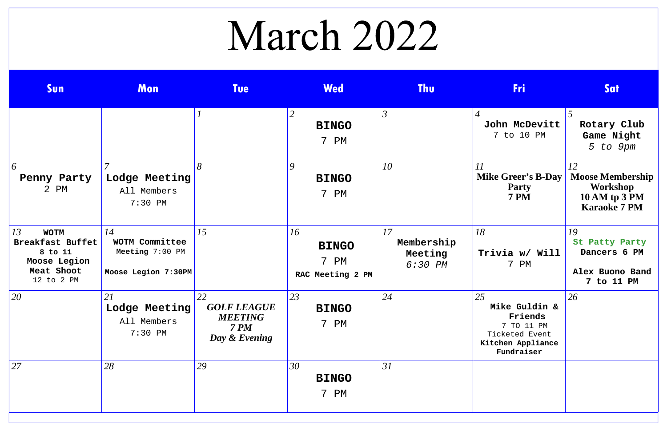# March 2022

| Sun                                                                                          | Mon                                                            | <b>Tue</b>                                                         | <b>Wed</b>                                        | <b>Thu</b>                             | <b>Fri</b>                                                                                        | Sat                                                                                      |
|----------------------------------------------------------------------------------------------|----------------------------------------------------------------|--------------------------------------------------------------------|---------------------------------------------------|----------------------------------------|---------------------------------------------------------------------------------------------------|------------------------------------------------------------------------------------------|
|                                                                                              |                                                                |                                                                    | $\overline{2}$<br><b>BINGO</b><br>7<br>${\rm PM}$ | $\mathfrak{Z}$                         | $\overline{4}$<br>John McDevitt<br>7 to 10 PM                                                     | 5<br>Rotary Club<br>Game Night<br>5 to 9pm                                               |
| 6<br>Penny Party<br>2 PM                                                                     | $\overline{7}$<br>Lodge Meeting<br>All Members<br>$7:30$ PM    | 8                                                                  | 9<br><b>BINGO</b><br>7 PM                         | 10                                     | 11<br><b>Mike Greer's B-Day</b><br><b>Party</b><br><b>7 PM</b>                                    | 12<br><b>Moose Membership</b><br>Workshop<br><b>10 AM tp 3 PM</b><br><b>Karaoke 7 PM</b> |
| 13<br><b>WOTM</b><br>Breakfast Buffet<br>8 to 11<br>Moose Legion<br>Meat Shoot<br>12 to 2 PM | 14<br>WOTM Committee<br>Meeting 7:00 PM<br>Moose Legion 7:30PM | 15                                                                 | 16<br><b>BINGO</b><br>7 PM<br>RAC Meeting 2 PM    | 17<br>Membership<br>Meeting<br>6:30 PM | 18<br>Trivia w/ Will<br>7 PM                                                                      | 19<br>St Patty Party<br>Dancers 6 PM<br>Alex Buono Band<br>7 to 11 PM                    |
| 20                                                                                           | 21<br>Lodge Meeting<br>All Members<br>$7:30$ PM                | 22<br><b>GOLF LEAGUE</b><br><b>MEETING</b><br>7PM<br>Day & Evening | 23<br><b>BINGO</b><br>7 PM                        | 24                                     | 25<br>Mike Guldin &<br>Friends<br>7 TO 11 PM<br>Ticketed Event<br>Kitchen Appliance<br>Fundraiser | 26                                                                                       |
| 27                                                                                           | 28                                                             | 29                                                                 | 30<br><b>BINGO</b><br>7 PM                        | 31                                     |                                                                                                   |                                                                                          |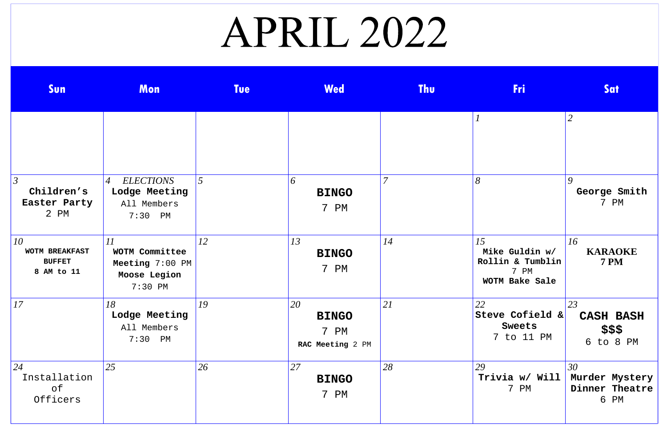# APRIL 2022

| Sun                                                  | Mon                                                                             | <b>Tue</b> | <b>Wed</b>                                     | <b>Thu</b>     | <b>Fri</b>                                                         | <b>Sat</b>                                     |
|------------------------------------------------------|---------------------------------------------------------------------------------|------------|------------------------------------------------|----------------|--------------------------------------------------------------------|------------------------------------------------|
|                                                      |                                                                                 |            |                                                |                |                                                                    | 2                                              |
| $\mathfrak{Z}$<br>Children's<br>Easter Party<br>2 PM | <b>ELECTIONS</b><br>$\overline{A}$<br>Lodge Meeting<br>All Members<br>$7:30$ PM | 5          | 6<br><b>BINGO</b><br>7 PM                      | $\overline{7}$ | 8                                                                  | $\boldsymbol{Q}$<br>George Smith<br>7 PM       |
| 10<br>WOTM BREAKFAST<br><b>BUFFET</b><br>8 AM to 11  | 11<br>WOTM Committee<br>Meeting 7:00 PM<br>Moose Legion<br>7:30 PM              | 12         | 13<br><b>BINGO</b><br>7 PM                     | 14             | 15<br>Mike Guldin w/<br>Rollin & Tumblin<br>7 PM<br>WOTM Bake Sale | 16<br><b>KARAOKE</b><br><b>7 PM</b>            |
| 17                                                   | 18<br>Lodge Meeting<br>All Members<br>$7:30$ PM                                 | 19         | 20<br><b>BINGO</b><br>7 PM<br>RAC Meeting 2 PM | 21             | 22<br>Steve Cofield &<br>Sweets<br>7 to 11 PM                      | 23<br><b>CASH BASH</b><br>\$\$\$<br>6 to 8 PM  |
| 24<br>Installation<br>of<br>Officers                 | 25                                                                              | 26         | 27<br><b>BINGO</b><br>7 PM                     | 28             | 29<br>Trivia w/ Will<br>7 PM                                       | 30<br>Murder Mystery<br>Dinner Theatre<br>6 PM |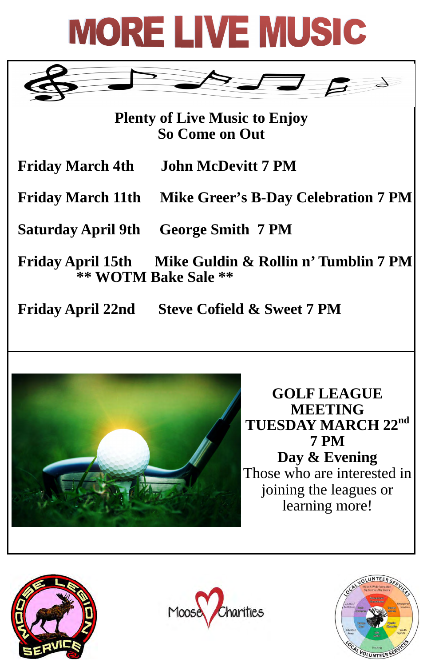

 **Friday April 22nd Steve Cofield & Sweet 7 PM** 



**GOLF LEAGUE MEETING TUESDAY MARCH 22nd 7 PM Day & Evening**  Those who are interested in joining the leagues or

## learning more!





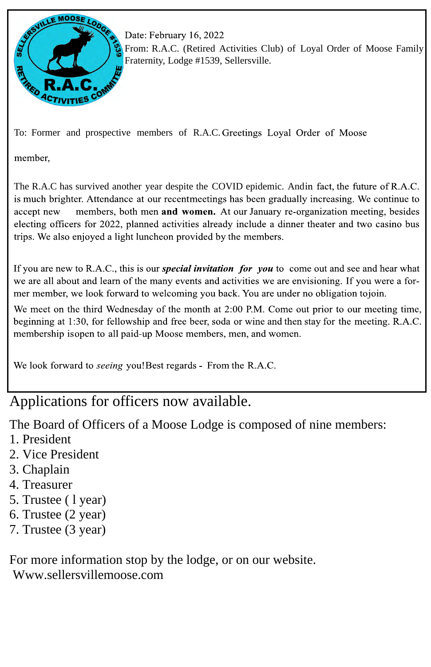

Date: February 16, 2022

From: R.A.C. (Retired Activities Club) of Loyal Order of Moose Family Fraternity, Lodge #1539, Sellersville.

To: Former and prospective members of R.A.C. Greetings Loyal Order of Moose

member,

The R.A.C has survived another year despite the COVID epidemic. Andin fact, the future of R.A.C. is much brighter. Attendance at our recentmeetings has been gradually increasing. We continue to accept new members, both men and women. At our January re-organization meeting, besides electing officers for 2022, planned activities already include a dinner theater and two casino bus trips. We also enjoyed a light luncheon provided by the members.

If you are new to R.A.C., this is our *special invitation for you* to come out and see and hear what we are all about and learn of the many events and activities we are envisioning. If you were a former member, we look forward to welcoming you back. You are under no obligation tojoin.

We meet on the third Wednesday of the month at 2:00 P.M. Come out prior to our meeting time, beginning at 1:30, for fellowship and free beer, soda or wine and then stay for the meeting. R.A.C. membership isopen to all paid-up Moose members, men, and women.

We look forward to *seeing* you! Best regards - From the R.A.C.

### Applications for officers now available.

The Board of Officers of a Moose Lodge is composed of nine members:

- 1. President
- 2. Vice President
- 3. Chaplain
- 4. Treasurer
- 5. Trustee ( l year) 6. Trustee (2 year) 7. Trustee (3 year)

### For more information stop by the lodge, or on our website. Www.sellersvillemoose.com